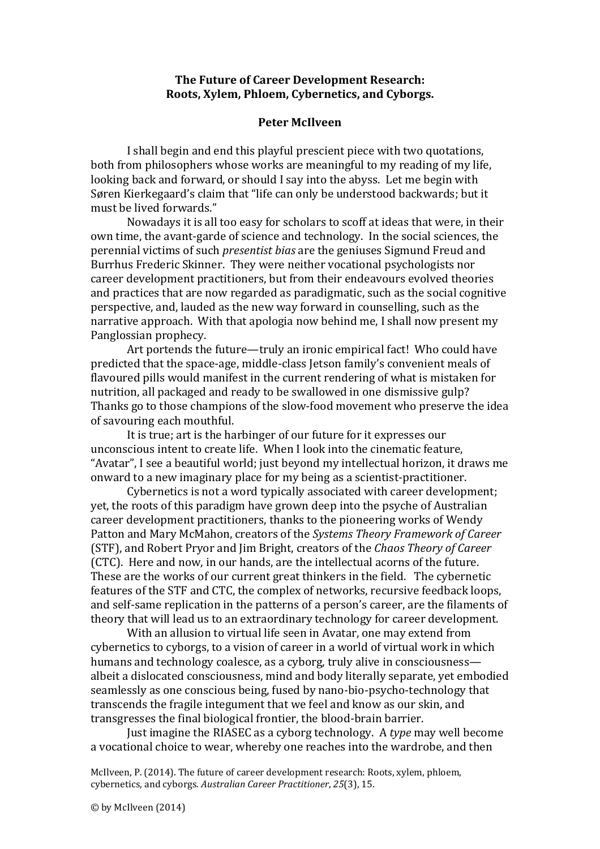## **The Future of Career Development Research: Roots, Xylem, Phloem, Cybernetics, and Cyborgs.**

## **Peter McIlveen**

I shall begin and end this playful prescient piece with two quotations, both from philosophers whose works are meaningful to my reading of my life, looking back and forward, or should I say into the abyss. Let me begin with Søren Kierkegaard's claim that "life can only be understood backwards; but it must be lived forwards."

Nowadays it is all too easy for scholars to scoff at ideas that were, in their own time, the avant-garde of science and technology. In the social sciences, the perennial victims of such *presentist bias* are the geniuses Sigmund Freud and Burrhus Frederic Skinner. They were neither vocational psychologists nor career development practitioners, but from their endeavours evolved theories and practices that are now regarded as paradigmatic, such as the social cognitive perspective, and, lauded as the new way forward in counselling, such as the narrative approach. With that apologia now behind me, I shall now present my Panglossian prophecy.

Art portends the future—truly an ironic empirical fact! Who could have predicted that the space-age, middle-class Jetson family's convenient meals of flavoured pills would manifest in the current rendering of what is mistaken for nutrition, all packaged and ready to be swallowed in one dismissive gulp? Thanks go to those champions of the slow-food movement who preserve the idea of savouring each mouthful.

It is true; art is the harbinger of our future for it expresses our unconscious intent to create life. When I look into the cinematic feature, "Avatar", I see a beautiful world; just beyond my intellectual horizon, it draws me onward to a new imaginary place for my being as a scientist-practitioner.

Cybernetics is not a word typically associated with career development; yet, the roots of this paradigm have grown deep into the psyche of Australian career development practitioners, thanks to the pioneering works of Wendy Patton and Mary McMahon, creators of the *Systems Theory Framework of Career* (STF), and Robert Pryor and Jim Bright, creators of the *Chaos Theory of Career* (CTC). Here and now, in our hands, are the intellectual acorns of the future. These are the works of our current great thinkers in the field. The cybernetic features of the STF and CTC, the complex of networks, recursive feedback loops, and self-same replication in the patterns of a person's career, are the filaments of theory that will lead us to an extraordinary technology for career development.

With an allusion to virtual life seen in Avatar, one may extend from cybernetics to cyborgs, to a vision of career in a world of virtual work in which humans and technology coalesce, as a cyborg, truly alive in consciousness albeit a dislocated consciousness, mind and body literally separate, yet embodied seamlessly as one conscious being, fused by nano-bio-psycho-technology that transcends the fragile integument that we feel and know as our skin, and transgresses the final biological frontier, the blood-brain barrier.

Just imagine the RIASEC as a cyborg technology. A *type* may well become a vocational choice to wear, whereby one reaches into the wardrobe, and then

McIlveen, P. (2014). The future of career development research: Roots, xylem, phloem, cybernetics, and cyborgs. *Australian Career Practitioner*, *25*(3), 15.